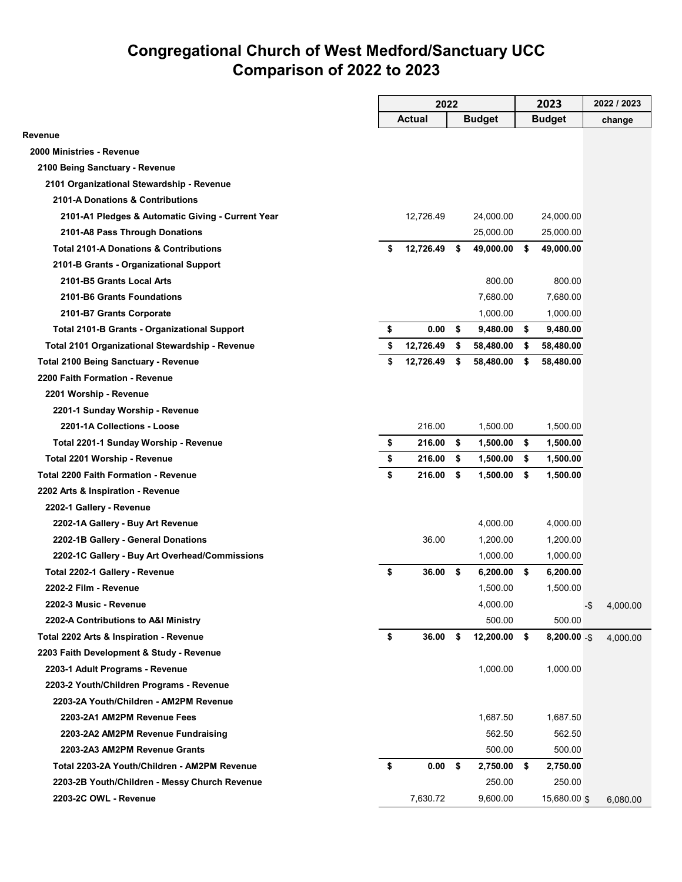## **Congregational Church of West Medford/Sanctuary UCC Comparison of 2022 to 2023**

|                                                     | 2022 |                   | 2023 |               |      | 2022 / 2023    |     |          |
|-----------------------------------------------------|------|-------------------|------|---------------|------|----------------|-----|----------|
|                                                     |      | Actual            |      | <b>Budget</b> |      | <b>Budget</b>  |     | change   |
| Revenue                                             |      |                   |      |               |      |                |     |          |
| 2000 Ministries - Revenue                           |      |                   |      |               |      |                |     |          |
| 2100 Being Sanctuary - Revenue                      |      |                   |      |               |      |                |     |          |
| 2101 Organizational Stewardship - Revenue           |      |                   |      |               |      |                |     |          |
| 2101-A Donations & Contributions                    |      |                   |      |               |      |                |     |          |
| 2101-A1 Pledges & Automatic Giving - Current Year   |      | 12,726.49         |      | 24,000.00     |      | 24,000.00      |     |          |
| 2101-A8 Pass Through Donations                      |      |                   |      | 25,000.00     |      | 25,000.00      |     |          |
| <b>Total 2101-A Donations &amp; Contributions</b>   | \$   | 12,726.49         | - \$ | 49,000.00     | - \$ | 49,000.00      |     |          |
| 2101-B Grants - Organizational Support              |      |                   |      |               |      |                |     |          |
| 2101-B5 Grants Local Arts                           |      |                   |      | 800.00        |      | 800.00         |     |          |
| 2101-B6 Grants Foundations                          |      |                   |      | 7,680.00      |      | 7,680.00       |     |          |
| 2101-B7 Grants Corporate                            |      |                   |      | 1,000.00      |      | 1,000.00       |     |          |
| <b>Total 2101-B Grants - Organizational Support</b> | \$   | 0.00              | \$   | 9,480.00      | \$   | 9,480.00       |     |          |
| Total 2101 Organizational Stewardship - Revenue     | \$   | 12,726.49         | \$   | 58,480.00     | \$   | 58,480.00      |     |          |
| <b>Total 2100 Being Sanctuary - Revenue</b>         | \$   | 12,726.49         | \$   | 58,480.00     | S.   | 58,480.00      |     |          |
| 2200 Faith Formation - Revenue                      |      |                   |      |               |      |                |     |          |
| 2201 Worship - Revenue                              |      |                   |      |               |      |                |     |          |
| 2201-1 Sunday Worship - Revenue                     |      |                   |      |               |      |                |     |          |
| 2201-1A Collections - Loose                         |      | 216.00            |      | 1,500.00      |      | 1,500.00       |     |          |
| Total 2201-1 Sunday Worship - Revenue               | \$   | 216.00            | \$   | 1,500.00      | \$   | 1,500.00       |     |          |
| Total 2201 Worship - Revenue                        | \$   | 216.00            | \$   | 1,500.00      | \$   | 1,500.00       |     |          |
| <b>Total 2200 Faith Formation - Revenue</b>         | \$   | 216.00 \$         |      | $1,500.00$ \$ |      | 1,500.00       |     |          |
| 2202 Arts & Inspiration - Revenue                   |      |                   |      |               |      |                |     |          |
| 2202-1 Gallery - Revenue                            |      |                   |      |               |      |                |     |          |
| 2202-1A Gallery - Buy Art Revenue                   |      |                   |      | 4,000.00      |      | 4,000.00       |     |          |
| 2202-1B Gallery - General Donations                 |      | 36.00             |      | 1,200.00      |      | 1,200.00       |     |          |
| 2202-1C Gallery - Buy Art Overhead/Commissions      |      |                   |      | 1.000.00      |      | 1,000.00       |     |          |
| Total 2202-1 Gallery - Revenue                      | \$   | $36.00$ \$        |      | $6,200.00$ \$ |      | 6,200.00       |     |          |
| 2202-2 Film - Revenue                               |      |                   |      | 1,500.00      |      | 1,500.00       |     |          |
| 2202-3 Music - Revenue                              |      |                   |      | 4,000.00      |      |                | -\$ | 4,000.00 |
| 2202-A Contributions to A&I Ministry                |      |                   |      | 500.00        |      | 500.00         |     |          |
| Total 2202 Arts & Inspiration - Revenue             | \$   | 36.00             | S.   | 12,200.00     | \$   | $8,200.00 - $$ |     | 4,000.00 |
| 2203 Faith Development & Study - Revenue            |      |                   |      |               |      |                |     |          |
| 2203-1 Adult Programs - Revenue                     |      |                   |      | 1,000.00      |      | 1,000.00       |     |          |
| 2203-2 Youth/Children Programs - Revenue            |      |                   |      |               |      |                |     |          |
| 2203-2A Youth/Children - AM2PM Revenue              |      |                   |      |               |      |                |     |          |
| 2203-2A1 AM2PM Revenue Fees                         |      |                   |      | 1,687.50      |      | 1,687.50       |     |          |
| 2203-2A2 AM2PM Revenue Fundraising                  |      |                   |      | 562.50        |      | 562.50         |     |          |
| 2203-2A3 AM2PM Revenue Grants                       |      |                   |      | 500.00        |      | 500.00         |     |          |
| Total 2203-2A Youth/Children - AM2PM Revenue        | \$   | 0.00 <sup>5</sup> |      | 2,750.00      | - \$ | 2,750.00       |     |          |
| 2203-2B Youth/Children - Messy Church Revenue       |      |                   |      | 250.00        |      | 250.00         |     |          |
| 2203-2C OWL - Revenue                               |      | 7,630.72          |      | 9,600.00      |      | 15,680.00 \$   |     | 6,080.00 |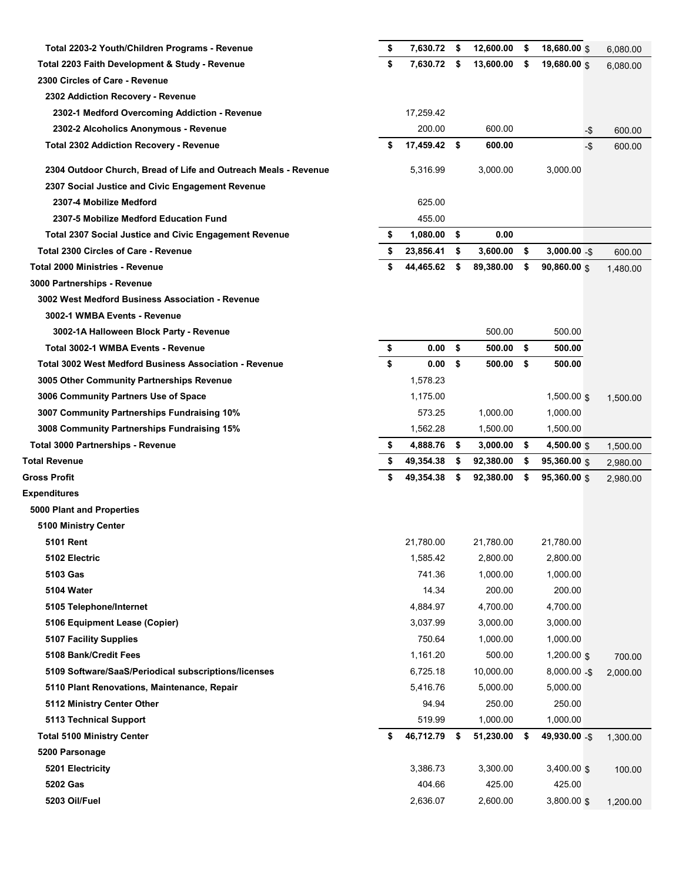| Total 2203-2 Youth/Children Programs - Revenue                  | \$<br>7,630.72     | - \$ | 12,600.00          | \$  | 18,680.00 \$            |       | 6,080.00 |
|-----------------------------------------------------------------|--------------------|------|--------------------|-----|-------------------------|-------|----------|
| Total 2203 Faith Development & Study - Revenue                  | \$<br>7,630.72     | \$   | 13,600.00          | \$  | 19,680.00 \$            |       | 6,080.00 |
| 2300 Circles of Care - Revenue                                  |                    |      |                    |     |                         |       |          |
| 2302 Addiction Recovery - Revenue                               |                    |      |                    |     |                         |       |          |
| 2302-1 Medford Overcoming Addiction - Revenue                   | 17,259.42          |      |                    |     |                         |       |          |
| 2302-2 Alcoholics Anonymous - Revenue                           | 200.00             |      | 600.00             |     |                         | -\$   | 600.00   |
| <b>Total 2302 Addiction Recovery - Revenue</b>                  | \$<br>17,459.42 \$ |      | 600.00             |     |                         | $-\$$ | 600.00   |
| 2304 Outdoor Church, Bread of Life and Outreach Meals - Revenue | 5,316.99           |      | 3,000.00           |     | 3,000.00                |       |          |
| 2307 Social Justice and Civic Engagement Revenue                |                    |      |                    |     |                         |       |          |
| 2307-4 Mobilize Medford                                         | 625.00             |      |                    |     |                         |       |          |
| 2307-5 Mobilize Medford Education Fund                          | 455.00             |      |                    |     |                         |       |          |
| <b>Total 2307 Social Justice and Civic Engagement Revenue</b>   | \$<br>1,080.00     | -\$  | 0.00               |     |                         |       |          |
| <b>Total 2300 Circles of Care - Revenue</b>                     | \$<br>23,856.41    | \$   | 3,600.00           | \$  | $3,000.00 - $$          |       | 600.00   |
| <b>Total 2000 Ministries - Revenue</b>                          | \$<br>44,465.62    | \$   | 89,380.00          | \$  | $90,860.00$ \$          |       | 1,480.00 |
| 3000 Partnerships - Revenue                                     |                    |      |                    |     |                         |       |          |
| 3002 West Medford Business Association - Revenue                |                    |      |                    |     |                         |       |          |
| 3002-1 WMBA Events - Revenue                                    |                    |      |                    |     |                         |       |          |
| 3002-1A Halloween Block Party - Revenue                         |                    |      | 500.00             |     | 500.00                  |       |          |
| Total 3002-1 WMBA Events - Revenue                              | \$<br>0.00         | \$   | 500.00             | \$  | 500.00                  |       |          |
| <b>Total 3002 West Medford Business Association - Revenue</b>   | \$<br>0.00         | \$   | 500.00             | \$  | 500.00                  |       |          |
| 3005 Other Community Partnerships Revenue                       | 1,578.23           |      |                    |     |                         |       |          |
| 3006 Community Partners Use of Space                            | 1,175.00           |      |                    |     | $1,500.00$ \$           |       | 1,500.00 |
| 3007 Community Partnerships Fundraising 10%                     | 573.25             |      | 1,000.00           |     | 1,000.00                |       |          |
| 3008 Community Partnerships Fundraising 15%                     | 1,562.28           |      | 1,500.00           |     | 1,500.00                |       |          |
| Total 3000 Partnerships - Revenue                               | \$<br>4,888.76     | \$   | 3,000.00           | \$  | 4,500.00 \$             |       | 1,500.00 |
|                                                                 |                    |      |                    |     |                         |       |          |
| <b>Total Revenue</b>                                            | \$<br>49,354.38    | \$   | 92,380.00          | \$. | $95,360.00$ \$          |       | 2,980.00 |
| <b>Gross Profit</b>                                             | \$<br>49,354.38    | \$   | 92,380.00          | \$  | $95,360.00$ \$          |       | 2,980.00 |
| <b>Expenditures</b>                                             |                    |      |                    |     |                         |       |          |
| 5000 Plant and Properties                                       |                    |      |                    |     |                         |       |          |
| 5100 Ministry Center                                            |                    |      |                    |     |                         |       |          |
| <b>5101 Rent</b>                                                | 21,780.00          |      | 21,780.00          |     | 21,780.00               |       |          |
| 5102 Electric                                                   | 1,585.42           |      | 2,800.00           |     | 2,800.00                |       |          |
| 5103 Gas                                                        | 741.36             |      | 1,000.00           |     | 1,000.00                |       |          |
| 5104 Water                                                      | 14.34              |      | 200.00             |     | 200.00                  |       |          |
| 5105 Telephone/Internet                                         | 4,884.97           |      | 4,700.00           |     | 4,700.00                |       |          |
| 5106 Equipment Lease (Copier)                                   | 3,037.99           |      | 3,000.00           |     | 3,000.00                |       |          |
| <b>5107 Facility Supplies</b>                                   | 750.64             |      | 1,000.00           |     | 1,000.00                |       |          |
| 5108 Bank/Credit Fees                                           | 1,161.20           |      | 500.00             |     | $1,200.00$ \$           |       | 700.00   |
| 5109 Software/SaaS/Periodical subscriptions/licenses            | 6,725.18           |      | 10,000.00          |     | $8,000.00 - $$          |       | 2,000.00 |
| 5110 Plant Renovations, Maintenance, Repair                     | 5,416.76           |      | 5,000.00           |     | 5,000.00                |       |          |
| 5112 Ministry Center Other                                      | 94.94              |      | 250.00             |     | 250.00                  |       |          |
| <b>5113 Technical Support</b>                                   | 519.99             |      | 1,000.00           |     | 1,000.00                |       |          |
| <b>Total 5100 Ministry Center</b>                               | \$<br>46,712.79 \$ |      | 51,230.00          | \$  | 49,930.00 -\$           |       | 1,300.00 |
| 5200 Parsonage                                                  |                    |      |                    |     |                         |       |          |
| 5201 Electricity                                                | 3,386.73           |      | 3,300.00           |     | $3,400.00$ \$           |       | 100.00   |
| 5202 Gas<br>5203 Oil/Fuel                                       | 404.66<br>2,636.07 |      | 425.00<br>2,600.00 |     | 425.00<br>$3,800.00$ \$ |       | 1,200.00 |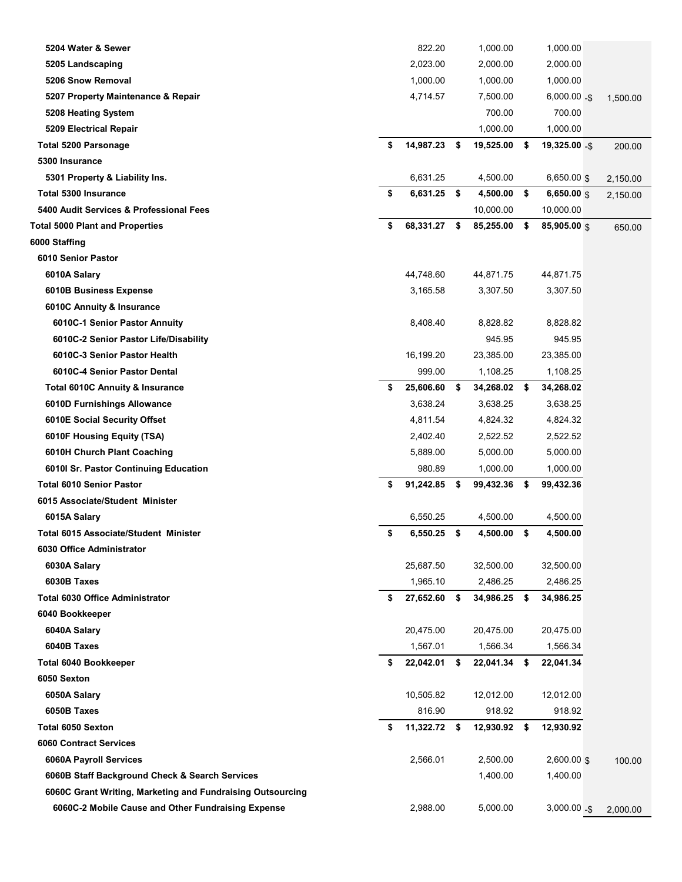| 5204 Water & Sewer                                         | 822.20              |      | 1,000.00     |     | 1,000.00       |          |
|------------------------------------------------------------|---------------------|------|--------------|-----|----------------|----------|
| 5205 Landscaping                                           | 2,023.00            |      | 2,000.00     |     | 2,000.00       |          |
| 5206 Snow Removal                                          | 1,000.00            |      | 1,000.00     |     | 1,000.00       |          |
| 5207 Property Maintenance & Repair                         | 4,714.57            |      | 7,500.00     |     | $6,000.00 - $$ | 1,500.00 |
| 5208 Heating System                                        |                     |      | 700.00       |     | 700.00         |          |
| 5209 Electrical Repair                                     |                     |      | 1,000.00     |     | 1,000.00       |          |
| <b>Total 5200 Parsonage</b>                                | \$<br>14,987.23     | \$   | 19,525.00    | \$  | 19,325.00 -\$  | 200.00   |
| 5300 Insurance                                             |                     |      |              |     |                |          |
| 5301 Property & Liability Ins.                             | 6,631.25            |      | 4,500.00     |     | 6,650.00 \$    | 2,150.00 |
| <b>Total 5300 Insurance</b>                                | \$<br>$6,631.25$ \$ |      | 4,500.00     | \$  | 6,650.00 \$    | 2,150.00 |
| 5400 Audit Services & Professional Fees                    |                     |      | 10,000.00    |     | 10,000.00      |          |
| <b>Total 5000 Plant and Properties</b>                     | \$<br>68,331.27     | \$   | 85,255.00    | \$  | 85,905.00 \$   | 650.00   |
| 6000 Staffing                                              |                     |      |              |     |                |          |
| 6010 Senior Pastor                                         |                     |      |              |     |                |          |
| 6010A Salary                                               | 44,748.60           |      | 44,871.75    |     | 44,871.75      |          |
| 6010B Business Expense                                     | 3,165.58            |      | 3,307.50     |     | 3,307.50       |          |
| 6010C Annuity & Insurance                                  |                     |      |              |     |                |          |
| 6010C-1 Senior Pastor Annuity                              | 8,408.40            |      | 8,828.82     |     | 8,828.82       |          |
| 6010C-2 Senior Pastor Life/Disability                      |                     |      | 945.95       |     | 945.95         |          |
| 6010C-3 Senior Pastor Health                               | 16,199.20           |      | 23,385.00    |     | 23,385.00      |          |
| 6010C-4 Senior Pastor Dental                               | 999.00              |      | 1,108.25     |     | 1,108.25       |          |
| <b>Total 6010C Annuity &amp; Insurance</b>                 | \$<br>25,606.60     | \$   | 34,268.02    | \$  | 34,268.02      |          |
| 6010D Furnishings Allowance                                | 3,638.24            |      | 3,638.25     |     | 3,638.25       |          |
| 6010E Social Security Offset                               | 4,811.54            |      | 4,824.32     |     | 4,824.32       |          |
| 6010F Housing Equity (TSA)                                 | 2,402.40            |      | 2,522.52     |     | 2,522.52       |          |
| 6010H Church Plant Coaching                                | 5,889.00            |      | 5,000.00     |     | 5,000.00       |          |
| 6010I Sr. Pastor Continuing Education                      | 980.89              |      | 1,000.00     |     | 1,000.00       |          |
| <b>Total 6010 Senior Pastor</b>                            | \$<br>91,242.85     | \$   | 99,432.36    | \$  | 99,432.36      |          |
| 6015 Associate/Student Minister                            |                     |      |              |     |                |          |
| 6015A Salary                                               | 6,550.25            |      | 4,500.00     |     | 4,500.00       |          |
| Total 6015 Associate/Student Minister                      | \$<br>6,550.25      | \$   | 4,500.00     | \$  | 4,500.00       |          |
| 6030 Office Administrator                                  |                     |      |              |     |                |          |
| 6030A Salary                                               | 25,687.50           |      | 32,500.00    |     | 32,500.00      |          |
| 6030B Taxes                                                | 1,965.10            |      | 2,486.25     |     | 2,486.25       |          |
| <b>Total 6030 Office Administrator</b>                     | \$<br>27,652.60     | \$   | 34,986.25    | \$  | 34,986.25      |          |
| 6040 Bookkeeper                                            |                     |      |              |     |                |          |
| 6040A Salary                                               | 20,475.00           |      | 20,475.00    |     | 20,475.00      |          |
| 6040B Taxes                                                | 1,567.01            |      | 1,566.34     |     | 1,566.34       |          |
| <b>Total 6040 Bookkeeper</b>                               | \$<br>22,042.01     | \$   | 22,041.34    | -\$ | 22,041.34      |          |
| 6050 Sexton                                                |                     |      |              |     |                |          |
| 6050A Salary                                               | 10,505.82           |      | 12,012.00    |     | 12,012.00      |          |
| 6050B Taxes                                                | 816.90              |      | 918.92       |     | 918.92         |          |
| <b>Total 6050 Sexton</b>                                   | \$<br>11,322.72     | - \$ | 12,930.92 \$ |     | 12,930.92      |          |
| <b>6060 Contract Services</b>                              |                     |      |              |     |                |          |
| 6060A Payroll Services                                     | 2,566.01            |      | 2,500.00     |     | $2,600.00$ \$  | 100.00   |
| 6060B Staff Background Check & Search Services             |                     |      | 1,400.00     |     | 1,400.00       |          |
| 6060C Grant Writing, Marketing and Fundraising Outsourcing |                     |      |              |     |                |          |
| 6060C-2 Mobile Cause and Other Fundraising Expense         | 2,988.00            |      | 5,000.00     |     | $3,000.00 - $$ | 2,000.00 |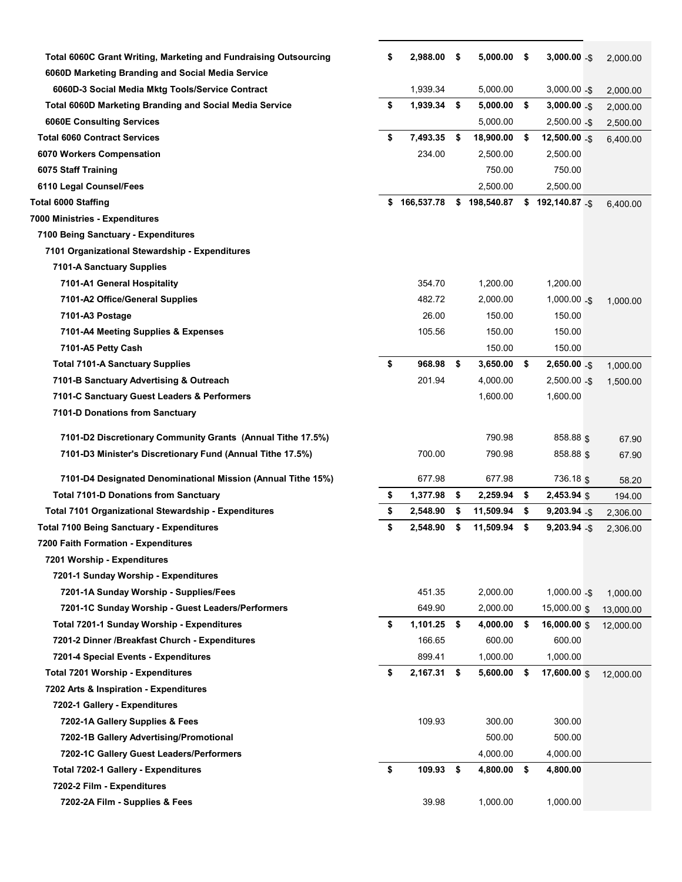| <b>Total 6060C Grant Writing, Marketing and Fundraising Outsourcing</b> | \$<br>2,988.00      | - \$ | 5,000.00 \$  |      | $3,000.00 - $$     | 2,000.00  |
|-------------------------------------------------------------------------|---------------------|------|--------------|------|--------------------|-----------|
| 6060D Marketing Branding and Social Media Service                       |                     |      |              |      |                    |           |
| 6060D-3 Social Media Mktg Tools/Service Contract                        | 1,939.34            |      | 5,000.00     |      | $3,000.00 - $$     | 2,000.00  |
| <b>Total 6060D Marketing Branding and Social Media Service</b>          | \$<br>1,939.34 \$   |      | 5,000.00     | \$   | $3,000.00 - $$     | 2,000.00  |
| <b>6060E Consulting Services</b>                                        |                     |      | 5,000.00     |      | $2,500.00 - $$     | 2,500.00  |
| <b>Total 6060 Contract Services</b>                                     | \$<br>7,493.35      | \$   | 18,900.00    | \$   | $12,500.00 - $$    | 6,400.00  |
| 6070 Workers Compensation                                               | 234.00              |      | 2,500.00     |      | 2,500.00           |           |
| 6075 Staff Training                                                     |                     |      | 750.00       |      | 750.00             |           |
| 6110 Legal Counsel/Fees                                                 |                     |      | 2,500.00     |      | 2,500.00           |           |
| <b>Total 6000 Staffing</b>                                              | \$166,537.78        |      | \$198,540.87 |      | $$192,140.87$ - \$ | 6,400.00  |
| 7000 Ministries - Expenditures                                          |                     |      |              |      |                    |           |
| 7100 Being Sanctuary - Expenditures                                     |                     |      |              |      |                    |           |
| 7101 Organizational Stewardship - Expenditures                          |                     |      |              |      |                    |           |
| 7101-A Sanctuary Supplies                                               |                     |      |              |      |                    |           |
| 7101-A1 General Hospitality                                             | 354.70              |      | 1,200.00     |      | 1,200.00           |           |
| 7101-A2 Office/General Supplies                                         | 482.72              |      | 2,000.00     |      | $1,000.00 - $$     | 1,000.00  |
| 7101-A3 Postage                                                         | 26.00               |      | 150.00       |      | 150.00             |           |
| 7101-A4 Meeting Supplies & Expenses                                     | 105.56              |      | 150.00       |      | 150.00             |           |
| 7101-A5 Petty Cash                                                      |                     |      | 150.00       |      | 150.00             |           |
| <b>Total 7101-A Sanctuary Supplies</b>                                  | \$<br>968.98 \$     |      | 3,650.00     | - \$ | $2,650.00 - $$     | 1,000.00  |
| 7101-B Sanctuary Advertising & Outreach                                 | 201.94              |      | 4,000.00     |      | $2,500.00 - $$     | 1,500.00  |
| 7101-C Sanctuary Guest Leaders & Performers                             |                     |      | 1,600.00     |      | 1,600.00           |           |
| 7101-D Donations from Sanctuary                                         |                     |      |              |      |                    |           |
| 7101-D2 Discretionary Community Grants (Annual Tithe 17.5%)             |                     |      | 790.98       |      | 858.88 \$          | 67.90     |
| 7101-D3 Minister's Discretionary Fund (Annual Tithe 17.5%)              | 700.00              |      | 790.98       |      | 858.88 \$          | 67.90     |
| 7101-D4 Designated Denominational Mission (Annual Tithe 15%)            | 677.98              |      | 677.98       |      | 736.18 \$          | 58.20     |
| <b>Total 7101-D Donations from Sanctuary</b>                            | \$<br>1,377.98      | \$   | 2,259.94     | \$   | $2,453.94$ \$      | 194.00    |
| Total 7101 Organizational Stewardship - Expenditures                    | \$<br>2,548.90      | \$   | 11,509.94    | \$   | $9,203.94 - $$     | 2,306.00  |
| <b>Total 7100 Being Sanctuary - Expenditures</b>                        | \$<br>2,548.90      | \$   | 11,509.94    | \$   | $9,203.94 - $$     | 2,306.00  |
| 7200 Faith Formation - Expenditures                                     |                     |      |              |      |                    |           |
| 7201 Worship - Expenditures                                             |                     |      |              |      |                    |           |
| 7201-1 Sunday Worship - Expenditures                                    |                     |      |              |      |                    |           |
| 7201-1A Sunday Worship - Supplies/Fees                                  | 451.35              |      | 2,000.00     |      | $1,000.00 -$ \$    | 1,000.00  |
| 7201-1C Sunday Worship - Guest Leaders/Performers                       | 649.90              |      | 2,000.00     |      | 15,000.00 \$       | 13,000.00 |
| Total 7201-1 Sunday Worship - Expenditures                              | \$<br>$1,101.25$ \$ |      | 4,000.00     | \$   | 16,000.00 \$       | 12,000.00 |
| 7201-2 Dinner /Breakfast Church - Expenditures                          | 166.65              |      | 600.00       |      | 600.00             |           |
| 7201-4 Special Events - Expenditures                                    | 899.41              |      | 1,000.00     |      | 1,000.00           |           |
| <b>Total 7201 Worship - Expenditures</b>                                | \$<br>2,167.31 \$   |      | 5,600.00     | \$   | 17,600.00 \$       | 12,000.00 |
| 7202 Arts & Inspiration - Expenditures                                  |                     |      |              |      |                    |           |
| 7202-1 Gallery - Expenditures                                           |                     |      |              |      |                    |           |
| 7202-1A Gallery Supplies & Fees                                         | 109.93              |      | 300.00       |      | 300.00             |           |
| 7202-1B Gallery Advertising/Promotional                                 |                     |      | 500.00       |      | 500.00             |           |
| 7202-1C Gallery Guest Leaders/Performers                                |                     |      | 4,000.00     |      | 4,000.00           |           |
| <b>Total 7202-1 Gallery - Expenditures</b>                              | \$<br>109.93        | \$   | 4,800.00     | \$   | 4,800.00           |           |
| 7202-2 Film - Expenditures                                              |                     |      |              |      |                    |           |
| 7202-2A Film - Supplies & Fees                                          | 39.98               |      | 1,000.00     |      | 1,000.00           |           |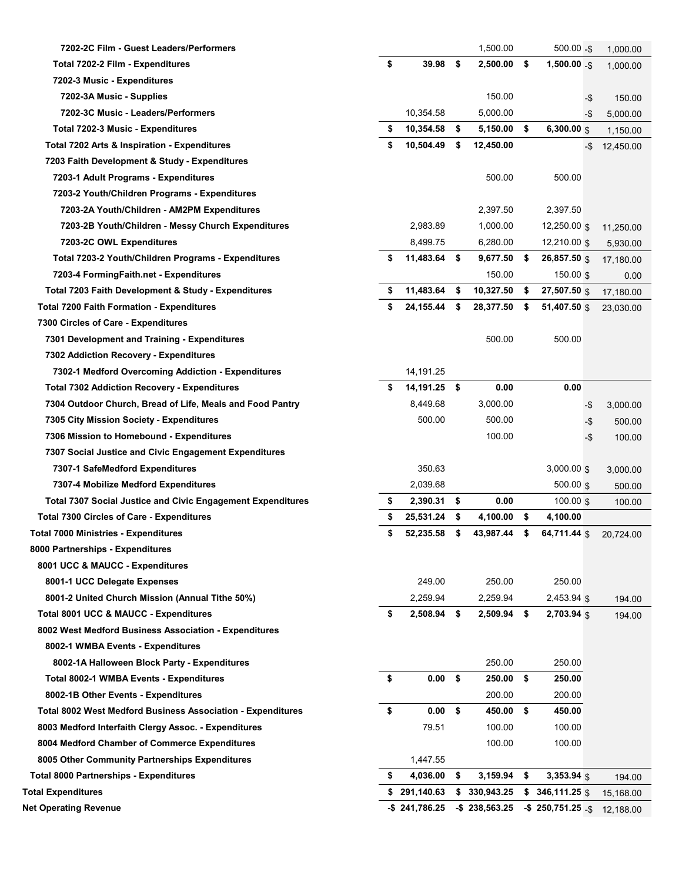| 7202-2C Film - Guest Leaders/Performers                            |                     |              | 1,500.00         |      | $500.00 - $$            | 1,000.00  |
|--------------------------------------------------------------------|---------------------|--------------|------------------|------|-------------------------|-----------|
| Total 7202-2 Film - Expenditures                                   | \$<br>39.98         | \$           | 2,500.00         | - \$ | $1,500.00 - $$          | 1,000.00  |
| 7202-3 Music - Expenditures                                        |                     |              |                  |      |                         |           |
| 7202-3A Music - Supplies                                           |                     |              | 150.00           |      | -\$                     | 150.00    |
| 7202-3C Music - Leaders/Performers                                 | 10,354.58           |              | 5,000.00         |      | -\$                     | 5,000.00  |
| Total 7202-3 Music - Expenditures                                  | \$<br>10,354.58     | - \$         | 5,150.00         | - \$ | 6,300.00 $$$            | 1,150.00  |
| Total 7202 Arts & Inspiration - Expenditures                       | \$<br>10,504.49     | \$           | 12,450.00        |      | -\$                     | 12,450.00 |
| 7203 Faith Development & Study - Expenditures                      |                     |              |                  |      |                         |           |
| 7203-1 Adult Programs - Expenditures                               |                     |              | 500.00           |      | 500.00                  |           |
| 7203-2 Youth/Children Programs - Expenditures                      |                     |              |                  |      |                         |           |
| 7203-2A Youth/Children - AM2PM Expenditures                        |                     |              | 2,397.50         |      | 2,397.50                |           |
| 7203-2B Youth/Children - Messy Church Expenditures                 | 2,983.89            |              | 1,000.00         |      | $12,250.00$ \$          | 11,250.00 |
| 7203-2C OWL Expenditures                                           | 8,499.75            |              | 6,280.00         |      | 12,210.00 \$            | 5,930.00  |
| Total 7203-2 Youth/Children Programs - Expenditures                | \$<br>11,483.64     | - \$         | 9,677.50         | - \$ | 26,857.50 \$            | 17,180.00 |
| 7203-4 FormingFaith.net - Expenditures                             |                     |              | 150.00           |      | 150.00 $\frac{1}{3}$    | 0.00      |
| Total 7203 Faith Development & Study - Expenditures                | \$<br>11,483.64     | \$           | 10,327.50        | \$   | 27,507.50 \$            | 17,180.00 |
| <b>Total 7200 Faith Formation - Expenditures</b>                   | \$<br>24, 155.44    | \$           | 28,377.50        | \$   | 51,407.50 \$            | 23,030.00 |
| 7300 Circles of Care - Expenditures                                |                     |              |                  |      |                         |           |
| 7301 Development and Training - Expenditures                       |                     |              | 500.00           |      | 500.00                  |           |
| 7302 Addiction Recovery - Expenditures                             |                     |              |                  |      |                         |           |
| 7302-1 Medford Overcoming Addiction - Expenditures                 | 14,191.25           |              |                  |      |                         |           |
| <b>Total 7302 Addiction Recovery - Expenditures</b>                | \$<br>14,191.25 \$  |              | 0.00             |      | 0.00                    |           |
| 7304 Outdoor Church, Bread of Life, Meals and Food Pantry          | 8,449.68            |              | 3,000.00         |      | -\$                     | 3,000.00  |
| 7305 City Mission Society - Expenditures                           | 500.00              |              | 500.00           |      | -\$                     | 500.00    |
| 7306 Mission to Homebound - Expenditures                           |                     |              | 100.00           |      | $-5$                    | 100.00    |
| 7307 Social Justice and Civic Engagement Expenditures              |                     |              |                  |      |                         |           |
| 7307-1 SafeMedford Expenditures                                    | 350.63              |              |                  |      | $3,000.00$ \$           | 3,000.00  |
| 7307-4 Mobilize Medford Expenditures                               | 2,039.68            |              |                  |      | 500.00 \$               | 500.00    |
| <b>Total 7307 Social Justice and Civic Engagement Expenditures</b> | \$<br>$2,390.31$ \$ |              | 0.00             |      | $100.00$ \$             | 100.00    |
| <b>Total 7300 Circles of Care - Expenditures</b>                   | \$<br>25,531.24     | - \$         | 4,100.00         | \$   | 4,100.00                |           |
| <b>Total 7000 Ministries - Expenditures</b>                        | \$<br>52,235.58     | \$           | 43,987.44        | \$   | 64,711.44 \$            | 20.724.00 |
| 8000 Partnerships - Expenditures                                   |                     |              |                  |      |                         |           |
| 8001 UCC & MAUCC - Expenditures                                    |                     |              |                  |      |                         |           |
| 8001-1 UCC Delegate Expenses                                       | 249.00              |              | 250.00           |      | 250.00                  |           |
| 8001-2 United Church Mission (Annual Tithe 50%)                    | 2,259.94            |              | 2,259.94         |      | 2,453.94 \$             | 194.00    |
| <b>Total 8001 UCC &amp; MAUCC - Expenditures</b>                   | \$<br>2,508.94 \$   |              | $2,509.94$ \$    |      | 2,703.94 \$             | 194.00    |
| 8002 West Medford Business Association - Expenditures              |                     |              |                  |      |                         |           |
| 8002-1 WMBA Events - Expenditures                                  |                     |              |                  |      |                         |           |
| 8002-1A Halloween Block Party - Expenditures                       |                     |              | 250.00           |      | 250.00                  |           |
| Total 8002-1 WMBA Events - Expenditures                            | \$<br>0.00          | - \$         | 250.00           | - \$ | 250.00                  |           |
| 8002-1B Other Events - Expenditures                                |                     |              | 200.00           |      | 200.00                  |           |
| <b>Total 8002 West Medford Business Association - Expenditures</b> | \$<br>0.00          | $\mathbf{s}$ | 450.00           | - \$ | 450.00                  |           |
| 8003 Medford Interfaith Clergy Assoc. - Expenditures               | 79.51               |              | 100.00           |      | 100.00                  |           |
| 8004 Medford Chamber of Commerce Expenditures                      |                     |              | 100.00           |      | 100.00                  |           |
| 8005 Other Community Partnerships Expenditures                     | 1,447.55            |              |                  |      |                         |           |
| <b>Total 8000 Partnerships - Expenditures</b>                      | \$<br>4,036.00      | \$           | 3,159.94         | \$   | $3,353.94$ \$           | 194.00    |
| <b>Total Expenditures</b>                                          | \$291,140.63        | S            | 330,943.25       | \$   | 346,111.25 \$           | 15,168.00 |
| <b>Net Operating Revenue</b>                                       | $-$ \$241,786.25    |              | $-$ \$238,563.25 |      | $-$ \$250,751.25 $-$ \$ | 12,188.00 |
|                                                                    |                     |              |                  |      |                         |           |